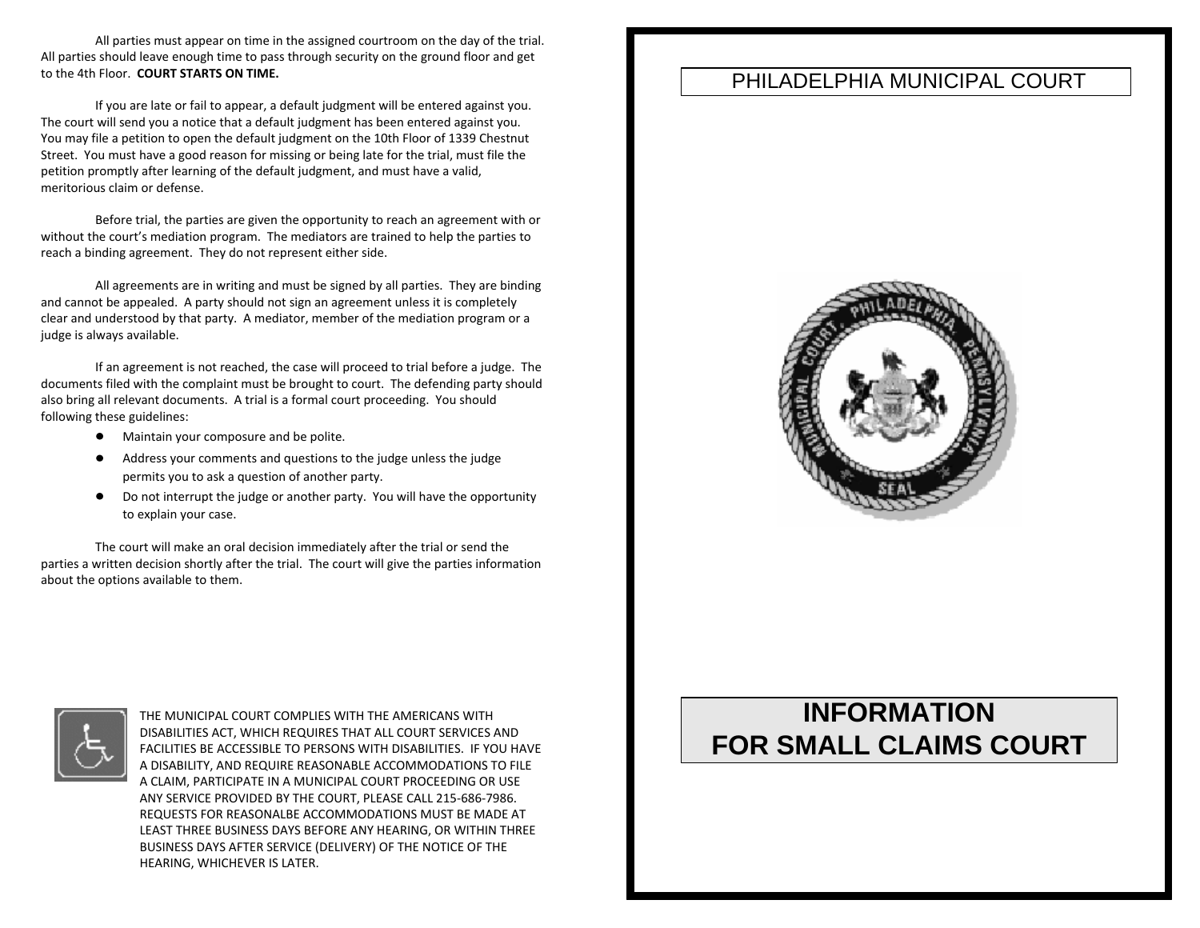All parties must appear on time in the assigned courtroom on the day of the trial. All parties should leave enough time to pass through security on the ground floor and get to the 4th Floor. **COURT STARTS ON TIME.**

If you are late or fail to appear, a default judgment will be entered against you. The court will send you a notice that a default judgment has been entered against you. You may file a petition to open the default judgment on the 10th Floor of 1339 Chestnut Street. You must have a good reason for missing or being late for the trial, must file the petition promptly after learning of the default judgment, and must have a valid, meritorious claim or defense.

Before trial, the parties are given the opportunity to reach an agreement with or without the court's mediation program. The mediators are trained to help the parties to reach a binding agreement. They do not represent either side.

All agreements are in writing and must be signed by all parties. They are binding and cannot be appealed. A party should not sign an agreement unless it is completely clear and understood by that party. A mediator, member of the mediation program or a judge is always available.

If an agreement is not reached, the case will proceed to trial before a judge. The documents filed with the complaint must be brought to court. The defending party should also bring all relevant documents. A trial is a formal court proceeding. You should following these guidelines:

- **•** Maintain your composure and be polite.
- Address your comments and questions to the judge unless the judge permits you to ask a question of another party.
- $\bullet$ Do not interrupt the judge or another party. You will have the opportunity to explain your case.

The court will make an oral decision immediately after the trial or send the parties a written decision shortly after the trial. The court will give the parties information about the options available to them.



THE MUNICIPAL COURT COMPLIES WITH THE AMERICANS WITH DISABILITIES ACT, WHICH REQUIRES THAT ALL COURT SERVICES AND FACILITIES BE ACCESSIBLE TO PERSONS WITH DISABILITIES. IF YOU HAVE A DISABILITY, AND REQUIRE REASONABLE ACCOMMODATIONS TO FILE A CLAIM, PARTICIPATE IN A MUNICIPAL COURT PROCEEDING OR USE ANY SERVICE PROVIDED BY THE COURT, PLEASE CALL 215-686-7986. REQUESTS FOR REASONALBE ACCOMMODATIONS MUST BE MADE AT LEAST THREE BUSINESS DAYS BEFORE ANY HEARING, OR WITHIN THREE BUSINESS DAYS AFTER SERVICE (DELIVERY) OF THE NOTICE OF THE HEARING, WHICHEVER IS LATER.

### PHILADELPHIA MUNICIPAL COURT



# **INFORMATION FOR SMALL CLAIMS COURT**